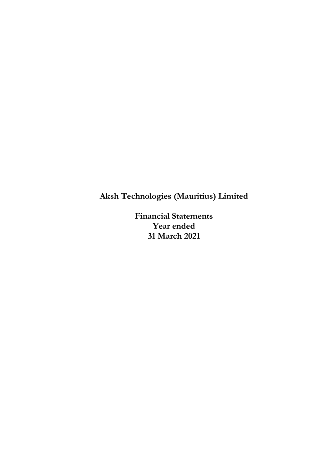**Financial Statements Year ended 31 March 2021**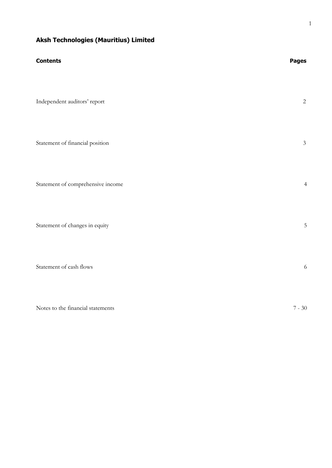| <b>Contents</b>                   | <b>Pages</b>   |
|-----------------------------------|----------------|
| Independent auditors' report      | $\overline{2}$ |
| Statement of financial position   | $\mathfrak{Z}$ |
| Statement of comprehensive income | $\overline{4}$ |
| Statement of changes in equity    | $\mathbf 5$    |
| Statement of cash flows           | 6              |
| Notes to the financial statements | $7 - 30$       |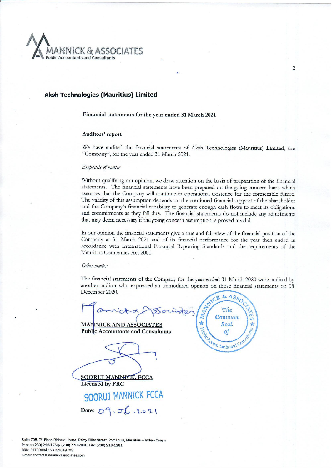

Financial statements for the year ended 31 March 2021

#### Auditors' report

We have audited the financial statements of Aksh Technologies (Mauritius) Limited, the "Company", for the year ended 31 March 2021.

#### Emphasis of matter

Without qualifying our opinion, we draw attention on the basis of preparation of the financial statements. The financial statements have been prepared on the going concern basis which assumes that the Company will continue in operational existence for the foreseeable future. The validity of this assumption depends on the continued financial support of the shareholder and the Company's financial capability to generate enough cash flows to meet its obligations and commitments as they fall due. The financial statements do not include any adjustments that may deem necessary if the going concern assumption is proved invalid.

In our opinion the financial statements give a true and fair view of the financial position of the Company at 31 March 2021 and of its financial performance for the year then ended in accordance with International Financial Reporting Standards and the requirements of the Mauritius Companies Act 2001.

#### Other matter

The financial statements of the Company for the year ended 31 March 2020 were audited by another auditor who expressed an unmodified opinion on those financial statements on 08 December 2020.

**MANNICK AND ASSOCIATES Public Accountants and Consultants** 

**SOORUJ MANNHCK, FCCA Licensed by FRC** 





Suite 705, 7th Floor, Richard House, Rémy Ollier Street, Port Louis, Mauritius - Indian Ocean Phone: (230) 216-1260/ (230) 770-2866, Fax: (230) 216-1261 BRN: F17000045 VAT31049703 E-mail: contact@mannickassociates.com

 $\overline{2}$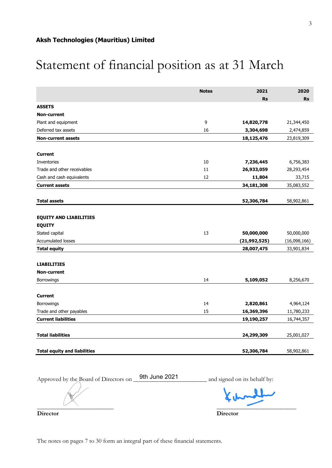# Statement of financial position as at 31 March

|                                     | <b>Notes</b> | 2021           | 2020         |
|-------------------------------------|--------------|----------------|--------------|
|                                     |              | <b>Rs</b>      | <b>Rs</b>    |
| <b>ASSETS</b>                       |              |                |              |
| <b>Non-current</b>                  |              |                |              |
| Plant and equipment                 | 9            | 14,820,778     | 21,344,450   |
| Deferred tax assets                 | 16           | 3,304,698      | 2,474,859    |
| <b>Non-current assets</b>           |              | 18,125,476     | 23,819,309   |
|                                     |              |                |              |
| <b>Current</b>                      |              |                |              |
| Inventories                         | 10           | 7,236,445      | 6,756,383    |
| Trade and other receivables         | 11           | 26,933,059     | 28,293,454   |
| Cash and cash equivalents           | 12           | 11,804         | 33,715       |
| <b>Current assets</b>               |              | 34,181,308     | 35,083,552   |
|                                     |              |                |              |
| <b>Total assets</b>                 |              | 52,306,784     | 58,902,861   |
|                                     |              |                |              |
| <b>EQUITY AND LIABILITIES</b>       |              |                |              |
| <b>EQUITY</b>                       |              |                |              |
| Stated capital                      | 13           | 50,000,000     | 50,000,000   |
| Accumulated losses                  |              | (21, 992, 525) | (16,098,166) |
| <b>Total equity</b>                 |              | 28,007,475     | 33,901,834   |
|                                     |              |                |              |
| <b>LIABILITIES</b>                  |              |                |              |
| <b>Non-current</b>                  |              |                |              |
| <b>Borrowings</b>                   | 14           | 5,109,052      | 8,256,670    |
|                                     |              |                |              |
| <b>Current</b>                      |              |                |              |
| Borrowings                          | 14           | 2,820,861      | 4,964,124    |
| Trade and other payables            | 15           | 16,369,396     | 11,780,233   |
| <b>Current liabilities</b>          |              | 19,190,257     | 16,744,357   |
|                                     |              |                |              |
| <b>Total liabilities</b>            |              | 24,299,309     | 25,001,027   |
|                                     |              |                |              |
| <b>Total equity and liabilities</b> |              | 52,306,784     | 58,902,861   |

Approved by the Board of Directors on \_\_\_\_\_\_\_\_\_\_\_\_\_\_\_\_\_\_\_\_\_\_\_\_ and signed on its behalf by: 9th June 2021

 $\mathbf{L}$  $\overline{\phantom{a}}$  ,  $\overline{\phantom{a}}$  ,  $\overline{\phantom{a}}$  ,  $\overline{\phantom{a}}$  ,  $\overline{\phantom{a}}$  ,  $\overline{\phantom{a}}$  ,  $\overline{\phantom{a}}$  ,  $\overline{\phantom{a}}$  ,  $\overline{\phantom{a}}$  ,  $\overline{\phantom{a}}$  ,  $\overline{\phantom{a}}$  ,  $\overline{\phantom{a}}$  ,  $\overline{\phantom{a}}$  ,  $\overline{\phantom{a}}$  ,  $\overline{\phantom{a}}$  ,  $\overline{\phantom{a}}$ 

**Director Director**

The notes on pages 7 to 30 form an integral part of these financial statements.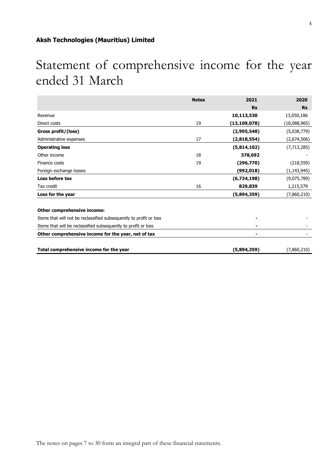## Statement of comprehensive income for the year ended 31 March

|                                                                    | <b>Notes</b> | 2021           | 2020          |
|--------------------------------------------------------------------|--------------|----------------|---------------|
|                                                                    |              | <b>Rs</b>      | <b>Rs</b>     |
| Revenue                                                            |              | 10,113,530     | 13,050,186    |
| Direct costs                                                       | 19           | (13, 109, 078) | (18,088,965)  |
| Gross profit/(loss)                                                |              | (2,995,548)    | (5,038,779)   |
| Administrative expenses                                            | 17           | (2,818,554)    | (2,674,506)   |
| <b>Operating loss</b>                                              |              | (5,814,102)    | (7, 713, 285) |
| Other income                                                       | 18           | 378,692        |               |
| Finance costs                                                      | 19           | (296,770)      | (218, 559)    |
| Foreign exchange losses                                            |              | (992, 018)     | (1, 143, 945) |
| Loss before tax                                                    |              | (6,724,198)    | (9,075,789)   |
| Tax credit                                                         | 16           | 829,839        | 1,215,579     |
| Loss for the year                                                  |              | (5,894,359)    | (7,860,210)   |
| Other comprehensive income:                                        |              |                |               |
| Items that will not be reclassified subsequently to profit or loss |              |                |               |
| Items that will be reclassified subsequently to profit or loss     |              |                |               |
| Other comprehensive income for the year, net of tax                |              |                |               |
| Total comprehensive income for the year                            |              | (5,894,359)    | (7,860,210)   |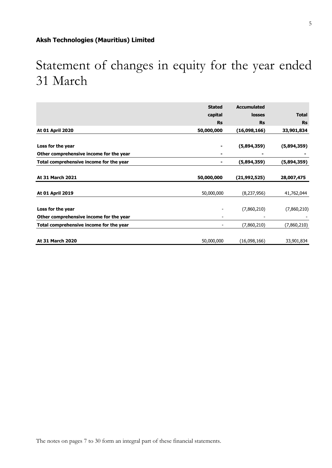## Statement of changes in equity for the year ended 31 March

|                                         | <b>Stated</b> | <b>Accumulated</b> |              |
|-----------------------------------------|---------------|--------------------|--------------|
|                                         |               |                    |              |
|                                         | capital       | losses             | <b>Total</b> |
|                                         | <b>Rs</b>     | <b>Rs</b>          | <b>Rs</b>    |
| At 01 April 2020                        | 50,000,000    | (16,098,166)       | 33,901,834   |
| Loss for the year                       |               | (5,894,359)        | (5,894,359)  |
| Other comprehensive income for the year |               |                    |              |
| Total comprehensive income for the year |               | (5,894,359)        | (5,894,359)  |
| At 31 March 2021                        | 50,000,000    | (21, 992, 525)     | 28,007,475   |
| <b>At 01 April 2019</b>                 | 50,000,000    | (8,237,956)        | 41,762,044   |
| Loss for the year                       |               | (7,860,210)        | (7,860,210)  |
| Other comprehensive income for the year |               |                    |              |
| Total comprehensive income for the year |               | (7,860,210)        | (7,860,210)  |
| At 31 March 2020                        | 50,000,000    | (16,098,166)       | 33,901,834   |

5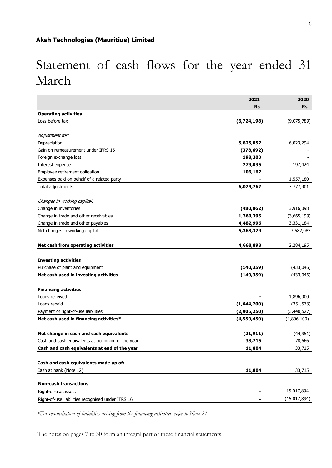## Statement of cash flows for the year ended 31 March

|                                                       | 2021        | 2020         |
|-------------------------------------------------------|-------------|--------------|
|                                                       | Rs          | <b>Rs</b>    |
| <b>Operating activities</b>                           |             |              |
| Loss before tax                                       | (6,724,198) | (9,075,789)  |
| Adjustment for:                                       |             |              |
| Depreciation                                          | 5,825,057   | 6,023,294    |
| Gain on remeasurement under IFRS 16                   | (378, 692)  |              |
| Foreign exchange loss                                 | 198,200     |              |
| Interest expense                                      | 279,035     | 197,424      |
| Employee retirement obligation                        | 106,167     |              |
| Expenses paid on behalf of a related party            |             | 1,557,180    |
| Total adjustments                                     | 6,029,767   | 7,777,901    |
|                                                       |             |              |
| Changes in working capiltal:<br>Change in inventories | (480, 062)  | 3,916,098    |
| Change in trade and other receivables                 | 1,360,395   | (3,665,199)  |
| Change in trade and other payables                    | 4,482,996   | 3,331,184    |
| Net changes in working capital                        | 5,363,329   |              |
|                                                       |             | 3,582,083    |
| Net cash from operating activities                    | 4,668,898   | 2,284,195    |
| <b>Investing activities</b>                           |             |              |
| Purchase of plant and equipment                       | (140, 359)  | (433,046)    |
| Net cash used in investing activities                 | (140, 359)  | (433,046)    |
|                                                       |             |              |
| <b>Financing activities</b>                           |             |              |
| Loans received                                        |             | 1,896,000    |
| Loans repaid                                          | (1,644,200) | (351, 573)   |
| Payment of right-of-use liabilities                   | (2,906,250) | (3,440,527)  |
| Net cash used in financing activities*                | (4,550,450) | (1,896,100)  |
| Net change in cash and cash equivalents               | (21, 911)   | (44, 951)    |
| Cash and cash equivalents at beginning of the year    | 33,715      | 78,666       |
| Cash and cash equivalents at end of the year          | 11,804      | 33,715       |
|                                                       |             |              |
| Cash and cash equivalents made up of:                 |             |              |
| Cash at bank (Note 12)                                | 11,804      | 33,715       |
| <b>Non-cash transactions</b>                          |             |              |
| Right-of-use assets                                   |             | 15,017,894   |
| Right-of-use liabilities recognised under IFRS 16     |             | (15,017,894) |

*\*For reconciliation of liabilities arising from the financing activities, refer to Note 21.*

The notes on pages 7 to 30 form an integral part of these financial statements.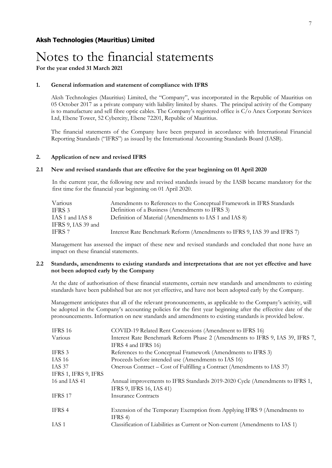### Notes to the financial statements

**For the year ended 31 March 2021**

### **1. General information and statement of compliance with IFRS**

Aksh Technologies (Mauritius) Limited, the "Company", was incorporated in the Republic of Mauritius on 05 October 2017 as a private company with liability limited by shares. The principal activity of the Company is to manufacture and sell fibre optic cables. The Company's registered office is C/o Anex Corporate Services Ltd, Ebene Tower, 52 Cybercity, Ebene 72201, Republic of Mauritius.

The financial statements of the Company have been prepared in accordance with International Financial Reporting Standards ("IFRS") as issued by the International Accounting Standards Board (IASB).

### **2. Application of new and revised IFRS**

### **2.1 New and revised standards that are effective for the year beginning on 01 April 2020**

In the current year, the following new and revised standards issued by the IASB became mandatory for the first time for the financial year beginning on 01 April 2020.

| Various                               | Amendments to References to the Conceptual Framework in IFRS Standards   |
|---------------------------------------|--------------------------------------------------------------------------|
| IFRS 3                                | Definition of a Business (Amendments to IFRS 3)                          |
| IAS 1 and IAS 8<br>IFRS 9, IAS 39 and | Definition of Material (Amendments to IAS 1 and IAS 8)                   |
| IFRS 7                                | Interest Rate Benchmark Reform (Amendments to IFRS 9, IAS 39 and IFRS 7) |

Management has assessed the impact of these new and revised standards and concluded that none have an impact on these financial statements.

### **2.2 Standards, amendments to existing standards and interpretations that are not yet effective and have not been adopted early by the Company**

At the date of authorisation of these financial statements, certain new standards and amendments to existing standards have been published but are not yet effective, and have not been adopted early by the Company.

Management anticipates that all of the relevant pronouncements, as applicable to the Company's activity, will be adopted in the Company's accounting policies for the first year beginning after the effective date of the pronouncements. Information on new standards and amendments to existing standards is provided below.

| <b>IFRS 16</b>       | COVID-19 Related Rent Concessions (Amendment to IFRS 16)                      |
|----------------------|-------------------------------------------------------------------------------|
| Various              | Interest Rate Benchmark Reform Phase 2 (Amendments to IFRS 9, IAS 39, IFRS 7, |
|                      | IFRS 4 and IFRS 16)                                                           |
| IFRS 3               | References to the Conceptual Framework (Amendments to IFRS 3)                 |
| <b>IAS 16</b>        | Proceeds before intended use (Amendments to IAS 16)                           |
| IAS 37               | Onerous Contract – Cost of Fulfilling a Contract (Amendments to IAS 37)       |
| IFRS 1, IFRS 9, IFRS |                                                                               |
| 16 and IAS 41        | Annual improvements to IFRS Standards 2019-2020 Cycle (Amendments to IFRS 1,  |
|                      | IFRS 9, IFRS 16, IAS 41)                                                      |
| IFRS 17              | <b>Insurance Contracts</b>                                                    |
| IFRS 4               | Extension of the Temporary Exemption from Applying IFRS 9 (Amendments to      |
|                      | IFRS 4)                                                                       |
| IAS <sub>1</sub>     | Classification of Liabilities as Current or Non-current (Amendments to IAS 1) |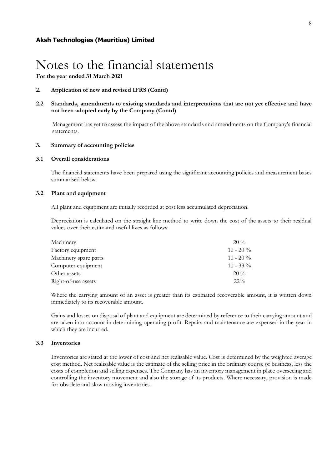**2. Application of new and revised IFRS (Contd)**

**2.2 Standards, amendments to existing standards and interpretations that are not yet effective and have not been adopted early by the Company (Contd)**

Management has yet to assess the impact of the above standards and amendments on the Company's financial statements.

### **3. Summary of accounting policies**

### **3.1 Overall considerations**

The financial statements have been prepared using the significant accounting policies and measurement bases summarised below.

### **3.2 Plant and equipment**

All plant and equipment are initially recorded at cost less accumulated depreciation.

Depreciation is calculated on the straight line method to write down the cost of the assets to their residual values over their estimated useful lives as follows:

| Machinery             | $20\%$      |
|-----------------------|-------------|
| Factory equipment     | $10 - 20\%$ |
| Machinery spare parts | $10 - 20\%$ |
| Computer equipment    | $10 - 33\%$ |
| Other assets          | $20\%$      |
| Right-of-use assets   | $22\%$      |

Where the carrying amount of an asset is greater than its estimated recoverable amount, it is written down immediately to its recoverable amount.

Gains and losses on disposal of plant and equipment are determined by reference to their carrying amount and are taken into account in determining operating profit. Repairs and maintenance are expensed in the year in which they are incurred.

### **3.3 Inventories**

Inventories are stated at the lower of cost and net realisable value. Cost is determined by the weighted average cost method. Net realisable value is the estimate of the selling price in the ordinary course of business, less the costs of completion and selling expenses. The Company has an inventory management in place overseeing and controlling the inventory movement and also the storage of its products. Where necessary, provision is made for obsolete and slow moving inventories.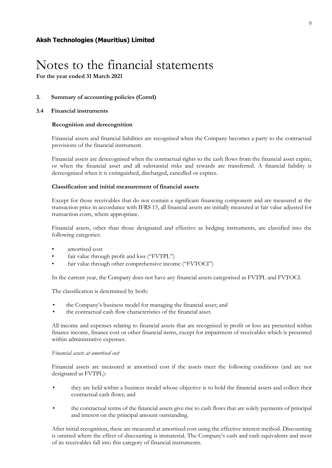### **3. Summary of accounting policies (Contd)**

### **3.4 Financial instruments**

### **Recognition and derecognition**

Financial assets and financial liabilities are recognised when the Company becomes a party to the contractual provisions of the financial instrument.

Financial assets are derecognised when the contractual rights to the cash flows from the financial asset expire, or when the financial asset and all substantial risks and rewards are transferred. A financial liability is derecognised when it is extinguished, discharged, cancelled or expires.

### **Classification and initial measurement of financial assets**

Except for those receivables that do not contain a significant financing component and are measured at the transaction price in accordance with IFRS 15, all financial assets are initially measured at fair value adjusted for transaction costs, where appropriate.

Financial assets, other than those designated and effective as hedging instruments, are classified into the following categories:

- amortised cost
- fair value through profit and loss ("FVTPL")
- fair value through other comprehensive income ("FVTOCI")

In the current year, the Company does not have any financial assets categorised as FVTPL and FVTOCI.

The classification is determined by both:

- the Company's business model for managing the financial asset; and
- the contractual cash flow characteristics of the financial asset.

All income and expenses relating to financial assets that are recognised in profit or loss are presented within finance income, finance cost or other financial items, except for impairment of receivables which is presented within administrative expenses.

### *Financial assets at amortised cost*

Financial assets are measured at amortised cost if the assets meet the following conditions (and are not designated as FVTPL):

- they are held within a business model whose objective is to hold the financial assets and collect their contractual cash flows; and
- the contractual terms of the financial assets give rise to cash flows that are solely payments of principal and interest on the principal amount outstanding.

After initial recognition, these are measured at amortised cost using the effective interest method. Discounting is omitted where the effect of discounting is immaterial. The Company's cash and cash equivalents and most of its receivables fall into this category of financial instruments.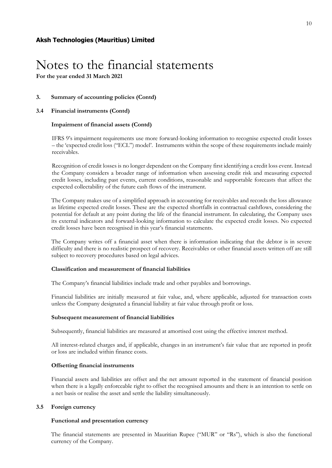**3. Summary of accounting policies (Contd)**

### **3.4 Financial instruments (Contd)**

### **Impairment of financial assets (Contd)**

IFRS 9's impairment requirements use more forward-looking information to recognise expected credit losses – the 'expected credit loss ("ECL") model'. Instruments within the scope of these requirements include mainly receivables.

Recognition of credit losses is no longer dependent on the Company first identifying a credit loss event. Instead the Company considers a broader range of information when assessing credit risk and measuring expected credit losses, including past events, current conditions, reasonable and supportable forecasts that affect the expected collectability of the future cash flows of the instrument.

The Company makes use of a simplified approach in accounting for receivables and records the loss allowance as lifetime expected credit losses. These are the expected shortfalls in contractual cashflows, considering the potential for default at any point during the life of the financial instrument. In calculating, the Company uses its external indicators and forward-looking information to calculate the expected credit losses. No expected credit losses have been recognised in this year's financial statements.

The Company writes off a financial asset when there is information indicating that the debtor is in severe difficulty and there is no realistic prospect of recovery. Receivables or other financial assets written off are still subject to recovery procedures based on legal advices.

### **Classification and measurement of financial liabilities**

The Company's financial liabilities include trade and other payables and borrowings.

Financial liabilities are initially measured at fair value, and, where applicable, adjusted for transaction costs unless the Company designated a financial liability at fair value through profit or loss.

### **Subsequent measurement of financial liabilities**

Subsequently, financial liabilities are measured at amortised cost using the effective interest method.

All interest-related charges and, if applicable, changes in an instrument's fair value that are reported in profit or loss are included within finance costs.

### **Offsetting financial instruments**

Financial assets and liabilities are offset and the net amount reported in the statement of financial position when there is a legally enforceable right to offset the recognised amounts and there is an intention to settle on a net basis or realise the asset and settle the liability simultaneously.

### **3.5 Foreign currency**

### **Functional and presentation currency**

The financial statements are presented in Mauritian Rupee ("MUR" or "Rs"), which is also the functional currency of the Company.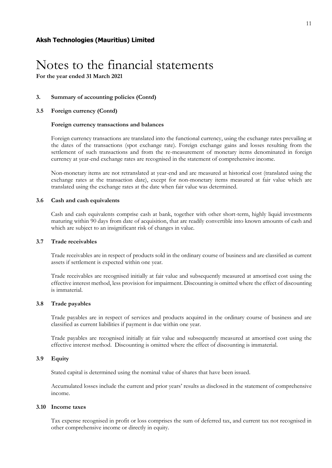**For the year ended 31 March 2021**

### **3. Summary of accounting policies (Contd)**

### **3.5 Foreign currency (Contd)**

### **Foreign currency transactions and balances**

Foreign currency transactions are translated into the functional currency, using the exchange rates prevailing at the dates of the transactions (spot exchange rate). Foreign exchange gains and losses resulting from the settlement of such transactions and from the re-measurement of monetary items denominated in foreign currency at year-end exchange rates are recognised in the statement of comprehensive income.

Non-monetary items are not retranslated at year-end and are measured at historical cost (translated using the exchange rates at the transaction date), except for non-monetary items measured at fair value which are translated using the exchange rates at the date when fair value was determined.

### **3.6 Cash and cash equivalents**

Cash and cash equivalents comprise cash at bank, together with other short-term, highly liquid investments maturing within 90 days from date of acquisition, that are readily convertible into known amounts of cash and which are subject to an insignificant risk of changes in value.

### **3.7 Trade receivables**

Trade receivables are in respect of products sold in the ordinary course of business and are classified as current assets if settlement is expected within one year.

Trade receivables are recognised initially at fair value and subsequently measured at amortised cost using the effective interest method, less provision for impairment. Discounting is omitted where the effect of discounting is immaterial.

### **3.8 Trade payables**

Trade payables are in respect of services and products acquired in the ordinary course of business and are classified as current liabilities if payment is due within one year.

Trade payables are recognised initially at fair value and subsequently measured at amortised cost using the effective interest method. Discounting is omitted where the effect of discounting is immaterial.

### **3.9 Equity**

Stated capital is determined using the nominal value of shares that have been issued.

Accumulated losses include the current and prior years' results as disclosed in the statement of comprehensive income.

### **3.10 Income taxes**

Tax expense recognised in profit or loss comprises the sum of deferred tax, and current tax not recognised in other comprehensive income or directly in equity.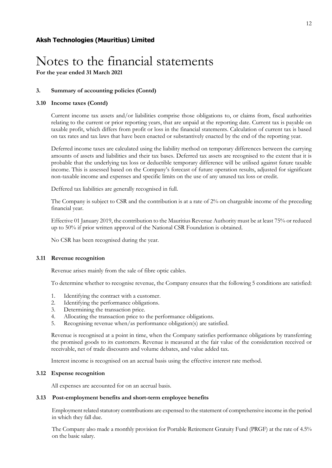**For the year ended 31 March 2021**

### **3. Summary of accounting policies (Contd)**

### **3.10 Income taxes (Contd)**

Current income tax assets and/or liabilities comprise those obligations to, or claims from, fiscal authorities relating to the current or prior reporting years, that are unpaid at the reporting date. Current tax is payable on taxable profit, which differs from profit or loss in the financial statements. Calculation of current tax is based on tax rates and tax laws that have been enacted or substantively enacted by the end of the reporting year.

Deferred income taxes are calculated using the liability method on temporary differences between the carrying amounts of assets and liabilities and their tax bases. Deferred tax assets are recognised to the extent that it is probable that the underlying tax loss or deductible temporary difference will be utilised against future taxable income. This is assessed based on the Company's forecast of future operation results, adjusted for significant non-taxable income and expenses and specific limits on the use of any unused tax loss or credit.

Deffered tax liabilities are generally recognised in full.

The Company is subject to CSR and the contribution is at a rate of 2% on chargeable income of the preceding financial year.

Effective 01 January 2019, the contribution to the Mauritius Revenue Authority must be at least 75% or reduced up to 50% if prior written approval of the National CSR Foundation is obtained.

No CSR has been recognised during the year.

### **3.11 Revenue recognition**

Revenue arises mainly from the sale of fibre optic cables.

To determine whether to recognise revenue, the Company ensures that the following 5 conditions are satisfied:

- 1. Identifying the contract with a customer.
- 2. Identifying the performance obligations.
- 3. Determining the transaction price.
- 4. Allocating the transaction price to the performance obligations.
- 5. Recognising revenue when/as performance obligation(s) are satisfied.

Revenue is recognised at a point in time, when the Company satisfies performance obligations by transferring the promised goods to its customers. Revenue is measured at the fair value of the consideration received or receivable, net of trade discounts and volume debates, and value added tax.

Interest income is recognised on an accrual basis using the effective interest rate method.

### **3.12 Expense recognition**

All expenses are accounted for on an accrual basis.

### **3.13 Post-employment benefits and short-term employee benefits**

Employment related statutory comtributions are expensed to the statement of comprehensive income in the period in which they fall due.

The Company also made a monthly provision for Portable Retirement Gratuity Fund (PRGF) at the rate of 4.5% on the basic salary.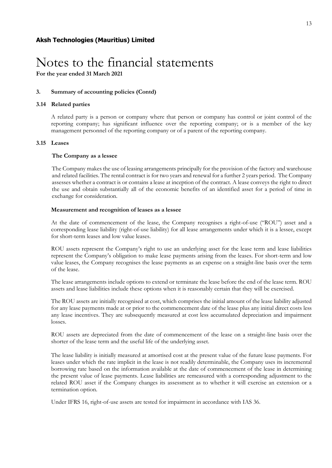**For the year ended 31 March 2021**

### **3. Summary of accounting policies (Contd)**

### **3.14 Related parties**

A related party is a person or company where that person or company has control or joint control of the reporting company; has significant influence over the reporting company; or is a member of the key management personnel of the reporting company or of a parent of the reporting company.

### **3.15 Leases**

### **The Company as a lessee**

The Company makes the use of leasing arrangements principally for the provision of the factory and warehouse and related facilities. The rental contract is for two years and renewal for a further 2 years period. The Company assesses whether a contract is or contains a lease at inception of the contract. A lease conveys the right to direct the use and obtain substantially all of the economic benefits of an identified asset for a period of time in exchange for consideration.

### **Measurement and recognition of leases as a lessee**

At the date of commencement of the lease, the Company recognises a right-of-use ("ROU") asset and a corresponding lease liability (right-of-use liability) for all lease arrangements under which it is a lessee, except for short-term leases and low value leases.

ROU assets represent the Company's right to use an underlying asset for the lease term and lease liabilities represent the Company's obligation to make lease payments arising from the leases. For short-term and low value leases, the Company recognises the lease payments as an expense on a straight-line basis over the term of the lease.

The lease arrangements include options to extend or terminate the lease before the end of the lease term. ROU assets and lease liabilities include these options when it is reasonably certain that they will be exercised.

The ROU assets are initially recognised at cost, which comprises the initial amount of the lease liability adjusted for any lease payments made at or prior to the commencement date of the lease plus any initial direct costs less any lease incentives. They are subsequently measured at cost less accumulated depreciation and impairment losses.

ROU assets are depreciated from the date of commencement of the lease on a straight-line basis over the shorter of the lease term and the useful life of the underlying asset.

The lease liability is initially measured at amortised cost at the present value of the future lease payments. For leases under which the rate implicit in the lease is not readily determinable, the Company uses its incremental borrowing rate based on the information available at the date of commencement of the lease in determining the present value of lease payments. Lease liabilities are remeasured with a corresponding adjustment to the related ROU asset if the Company changes its assessment as to whether it will exercise an extension or a termination option.

Under IFRS 16, right-of-use assets are tested for impairment in accordance with IAS 36.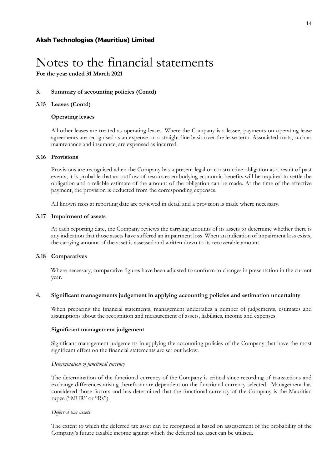**For the year ended 31 March 2021**

### **3. Summary of accounting policies (Contd)**

### **3.15 Leases (Contd)**

### **Operating leases**

All other leases are treated as operating leases. Where the Company is a lessee, payments on operating lease agreements are recognised as an expense on a straight-line basis over the lease term. Associated costs, such as maintenance and insurance, are expensed as incurred.

### **3.16 Provisions**

Provisions are recognised when the Company has a present legal or constructive obligation as a result of past events, it is probable that an outflow of resources embodying economic benefits will be required to settle the obligation and a reliable estimate of the amount of the obligation can be made. At the time of the effective payment, the provision is deducted from the corresponding expenses.

All known risks at reporting date are reviewed in detail and a provision is made where necessary.

### **3.17 Impairment of assets**

At each reporting date, the Company reviews the carrying amounts of its assets to determine whether there is any indication that those assets have suffered an impairment loss. When an indication of impairment loss exists, the carrying amount of the asset is assessed and written down to its recoverable amount.

### **3.18 Comparatives**

Where necessary, comparative figures have been adjusted to conform to changes in presentation in the current year.

### **4. Significant managements judgement in applying accounting policies and estimation uncertainty**

When preparing the financial statements, management undertakes a number of judgements, estimates and assumptions about the recognition and measurement of assets, liabilities, income and expenses.

### **Significant management judgement**

Significant management judgements in applying the accounting policies of the Company that have the most significant effect on the financial statements are set out below.

### *Determination of functional currency*

The determination of the functional currency of the Company is critical since recording of transactions and exchange differences arising therefrom are dependent on the functional currency selected. Management has considered those factors and has determined that the functional currency of the Company is the Mauritian rupee ("MUR" or "Rs").

### *Deferred tax assets*

The extent to which the deferred tax asset can be recognised is based on assessement of the probability of the Company's future taxable income against which the deferred tax asset can be utilised.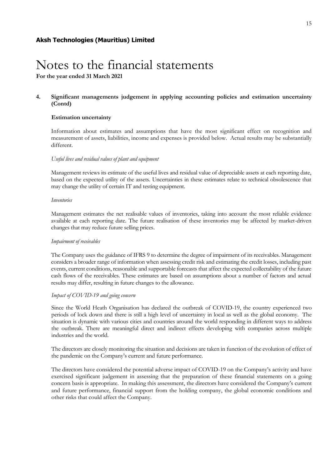**For the year ended 31 March 2021**

### **4. Significant managements judgement in applying accounting policies and estimation uncertainty (Contd)**

### **Estimation uncertainty**

Information about estimates and assumptions that have the most significant effect on recognition and measurement of assets, liabilities, income and expenses is provided below. Actual results may be substantially different.

### *Useful lives and residual values of plant and equipment*

Management reviews its estimate of the useful lives and residual value of depreciable assets at each reporting date, based on the expected utility of the assets. Uncertainties in these estimates relate to technical obsolescence that may change the utility of certain IT and testing equipment.

### *Inventories*

Management estimates the net realisable values of inventories, taking into account the most reliable evidence available at each reporting date. The future realisation of these inventories may be affected by market-driven changes that may reduce future selling prices.

### *Impairment of receivables*

The Company uses the guidance of IFRS 9 to determine the degree of impairment of its receivables. Management considers a broader range of information when assessing credit risk and estimating the credit losses, including past events, current conditions, reasonable and supportable forecasts that affect the expected collectability of the future cash flows of the receivables. These estimates are based on assumptions about a number of factors and actual results may differ, resulting in future changes to the allowance.

### *Impact of COVID-19 and going concern*

Since the World Heath Organisation has declared the outbreak of COVID-19, the country experienced two periods of lock down and there is still a high level of uncertainty in local as well as the global economy. The situation is dynamic with various cities and countries around the world responding in different ways to address the outbreak. There are meaningful direct and indirect effects developing with companies across multiple industries and the world.

The directors are closely monitoring the situation and decisions are taken in function of the evolution of effect of the pandemic on the Company's current and future performance.

The directors have considered the potential adverse impact of COVID-19 on the Company's activity and have exercised significant judgement in assessing that the preparation of these financial statements on a going concern basis is appropriate. In making this assessment, the directors have considered the Company's current and future performance, financial support from the holding company, the global economic conditions and other risks that could affect the Company.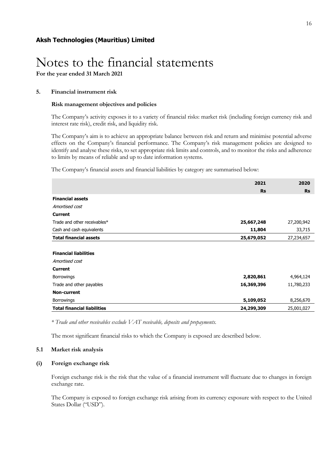**For the year ended 31 March 2021**

### **5. Financial instrument risk**

### **Risk management objectives and policies**

The Company's activity exposes it to a variety of financial risks: market risk (including foreign currency risk and interest rate risk), credit risk, and liquidity risk.

The Company's aim is to achieve an appropriate balance between risk and return and minimise potential adverse effects on the Company's financial performance. The Company's risk management policies are designed to identify and analyse these risks, to set appropriate risk limits and controls, and to monitor the risks and adherence to limits by means of reliable and up to date information systems.

The Company's financial assets and financial liabilities by category are summarised below:

|                                    | 2021       | 2020       |
|------------------------------------|------------|------------|
|                                    | <b>Rs</b>  | <b>Rs</b>  |
| <b>Financial assets</b>            |            |            |
| Amortised cost                     |            |            |
| <b>Current</b>                     |            |            |
| Trade and other receivables*       | 25,667,248 | 27,200,942 |
| Cash and cash equivalents          | 11,804     | 33,715     |
| <b>Total financial assets</b>      | 25,679,052 | 27,234,657 |
|                                    |            |            |
| <b>Financial liabilities</b>       |            |            |
| Amortised cost                     |            |            |
| <b>Current</b>                     |            |            |
| <b>Borrowings</b>                  | 2,820,861  | 4,964,124  |
| Trade and other payables           | 16,369,396 | 11,780,233 |
| <b>Non-current</b>                 |            |            |
| <b>Borrowings</b>                  | 5,109,052  | 8,256,670  |
| <b>Total financial liabilities</b> | 24,299,309 | 25,001,027 |

*\* Trade and other receivables exclude VAT receivable, deposits and prepayments.* 

The most significant financial risks to which the Company is exposed are described below.

### **5.1 Market risk analysis**

### **(i) Foreign exchange risk**

Foreign exchange risk is the risk that the value of a financial instrument will fluctuate due to changes in foreign exchange rate.

The Company is exposed to foreign exchange risk arising from its currency exposure with respect to the United States Dollar ("USD").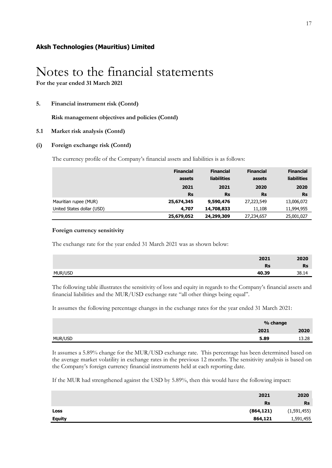**For the year ended 31 March 2021**

### **5. Financial instrument risk (Contd)**

**Risk management objectives and policies (Contd)**

### **5.1 Market risk analysis (Contd)**

### **(i) Foreign exchange risk (Contd)**

The currency profile of the Company's financial assets and liabilities is as follows:

|                            | <b>Financial</b> | <b>Financial</b>   | <b>Financial</b> | <b>Financial</b>   |
|----------------------------|------------------|--------------------|------------------|--------------------|
|                            | assets           | <b>liabilities</b> | assets           | <b>liabilities</b> |
|                            | 2021             | 2021               | 2020             | 2020               |
|                            | <b>Rs</b>        | <b>Rs</b>          | <b>Rs</b>        | <b>Rs</b>          |
| Mauritian rupee (MUR)      | 25,674,345       | 9,590,476          | 27,223,549       | 13,006,072         |
| United States dollar (USD) | 4,707            | 14,708,833         | 11,108           | 11,994,955         |
|                            | 25,679,052       | 24,299,309         | 27,234,657       | 25,001,027         |

### **Foreign currency sensitivity**

The exchange rate for the year ended 31 March 2021 was as shown below:

| 2021             | 2020      |
|------------------|-----------|
| <b>Rs</b>        | <b>Rs</b> |
| MUR/USD<br>40.39 | 38 14     |

The following table illustrates the sensitivity of loss and equity in regards to the Company's financial assets and financial liabilities and the MUR/USD exchange rate "all other things being equal".

It assumes the following percentage changes in the exchange rates for the year ended 31 March 2021:

|         |      | % change |  |
|---------|------|----------|--|
|         | 2021 | 2020     |  |
| MUR/USD | 5.89 | 13.28    |  |

It assumes a 5.89% change for the MUR/USD exchange rate. This percentage has been determined based on the average market volatility in exchange rates in the previous 12 months. The sensitivity analysis is based on the Company's foreign currency financial instruments held at each reporting date.

If the MUR had strengthened against the USD by 5.89%, then this would have the following impact:

| 2021                     | 2020        |
|--------------------------|-------------|
| <b>Rs</b>                | <b>Rs</b>   |
| (864, 121)<br>Loss       | (1,591,455) |
| 864,121<br><b>Equity</b> | 1,591,455   |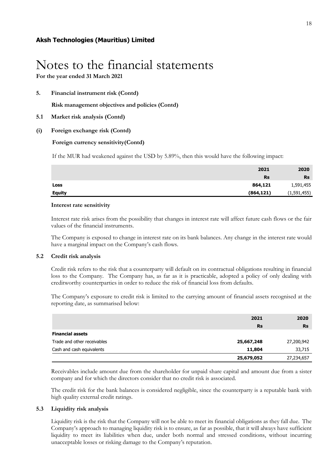**For the year ended 31 March 2021**

**5. Financial instrument risk (Contd)**

**Risk management objectives and policies (Contd)**

- **5.1 Market risk analysis (Contd)**
- **(i) Foreign exchange risk (Contd)**

### **Foreign currency sensitivity(Contd)**

If the MUR had weakened against the USD by 5.89%, then this would have the following impact:

|               | 2021       | 2020        |
|---------------|------------|-------------|
|               | <b>Rs</b>  | <b>Rs</b>   |
| Loss          | 864,121    | 1,591,455   |
| <b>Equity</b> | (864, 121) | (1,591,455) |

### **Interest rate sensitivity**

Interest rate risk arises from the possibility that changes in interest rate will affect future cash flows or the fair values of the financial instruments.

The Company is exposed to change in interest rate on its bank balances. Any change in the interest rate would have a marginal impact on the Company's cash flows.

### **5.2 Credit risk analysis**

Credit risk refers to the risk that a counterparty will default on its contractual obligations resulting in financial loss to the Company. The Company has, as far as it is practicable, adopted a policy of only dealing with creditworthy counterparties in order to reduce the risk of financial loss from defaults.

The Company's exposure to credit risk is limited to the carrying amount of financial assets recognised at the reporting date, as summarised below:

|                             | 2021       | 2020       |
|-----------------------------|------------|------------|
|                             | <b>Rs</b>  | <b>Rs</b>  |
| <b>Financial assets</b>     |            |            |
| Trade and other receivables | 25,667,248 | 27,200,942 |
| Cash and cash equivalents   | 11,804     | 33,715     |
|                             | 25,679,052 | 27,234,657 |

Receivables include amount due from the shareholder for unpaid share capital and amount due from a sister company and for which the directors consider that no credit risk is associated.

The credit risk for the bank balances is considered negligible, since the counterparty is a reputable bank with high quality external credit ratings.

### **5.3 Liquidity risk analysis**

Liquidity risk is the risk that the Company will not be able to meet its financial obligations as they fall due. The Company's approach to managing liquidity risk is to ensure, as far as possible, that it will always have sufficient liquidity to meet its liabilities when due, under both normal and stressed conditions, without incurring unacceptable losses or risking damage to the Company's reputation.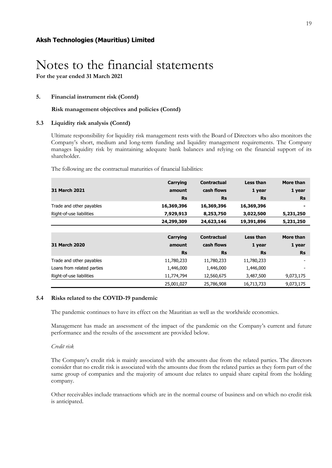### **5. Financial instrument risk (Contd)**

### **Risk management objectives and policies (Contd)**

### **5.3 Liquidity risk analysis (Contd)**

Ultimate responsibility for liquidity risk management rests with the Board of Directors who also monitors the Company's short, medium and long-term funding and liquidity management requirements. The Company manages liquidity risk by maintaining adequate bank balances and relying on the financial support of its shareholder.

The following are the contractual maturities of financial liabilities:

|                            | Carrying        | <b>Contractual</b> | Less than  | More than |
|----------------------------|-----------------|--------------------|------------|-----------|
| <b>31 March 2021</b>       | amount          | cash flows         | 1 year     | 1 year    |
|                            | <b>Rs</b>       | <b>Rs</b>          | <b>Rs</b>  | <b>Rs</b> |
| Trade and other payables   | 16,369,396      | 16,369,396         | 16,369,396 |           |
| Right-of-use liabilities   | 7,929,913       | 8,253,750          | 3,022,500  | 5,231,250 |
|                            | 24,299,309      | 24,623,146         | 19,391,896 | 5,231,250 |
|                            |                 |                    |            |           |
|                            | <b>Carrying</b> | <b>Contractual</b> | Less than  | More than |
| <b>31 March 2020</b>       | amount          | cash flows         | 1 year     | 1 year    |
|                            | <b>Rs</b>       | <b>Rs</b>          | <b>Rs</b>  | <b>Rs</b> |
| Trade and other payables   | 11,780,233      | 11,780,233         | 11,780,233 |           |
| Loans from related parties | 1,446,000       | 1,446,000          | 1,446,000  |           |
| Right-of-use liabilities   | 11,774,794      | 12,560,675         | 3,487,500  | 9,073,175 |
|                            | 25,001,027      | 25,786,908         | 16,713,733 | 9,073,175 |

### **5.4 Risks related to the COVID-19 pandemic**

The pandemic continues to have its effect on the Mauritian as well as the worldwide economies.

Management has made an assessment of the impact of the pandemic on the Company's current and future performance and the results of the assessment are provided below.

### *Credit risk*

The Company's credit risk is mainly associated with the amounts due from the related parties. The directors consider that no credit risk is associated with the amounts due from the related parties as they form part of the same group of companies and the majority of amount due relates to unpaid share capital from the holding company.

Other receivables include transactions which are in the normal course of business and on which no credit risk is anticipated.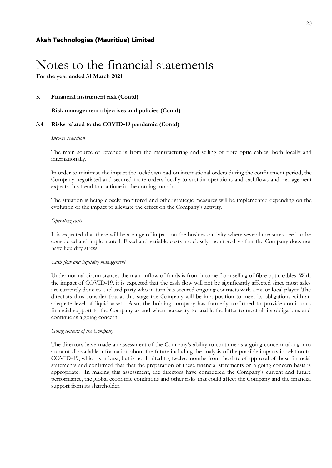### **5. Financial instrument risk (Contd)**

**Risk management objectives and policies (Contd)**

### **5.4 Risks related to the COVID-19 pandemic (Contd)**

#### *Income reduction*

The main source of revenue is from the manufacturing and selling of fibre optic cables, both locally and internationally.

In order to minimise the impact the lockdown had on international orders during the confinement period, the Company negotiated and secured more orders locally to sustain operations and cashflows and management expects this trend to continue in the coming months.

The situation is being closely monitored and other strategic measures will be implemented depending on the evolution of the impact to alleviate the effect on the Company's activity.

#### *Operating costs*

It is expected that there will be a range of impact on the business activity where several measures need to be considered and implemented. Fixed and variable costs are closely monitored so that the Company does not have liquidity stress.

### *Cash flow and liquidity management*

Under normal circumstances the main inflow of funds is from income from selling of fibre optic cables. With the impact of COVID-19, it is expected that the cash flow will not be significantly affected since most sales are currently done to a related party who in turn has secured ongoing contracts with a major local player. The directors thus consider that at this stage the Company will be in a position to meet its obligations with an adequate level of liquid asset. Also, the holding company has formerly corfirmed to provide continuous financial support to the Company as and when necessary to enable the latter to meet all its obligations and continue as a going concern.

### *Going concern of the Company*

The directors have made an assessment of the Company's ability to continue as a going concern taking into account all available information about the future including the analysis of the possible impacts in relation to COVID-19, which is at least, but is not limited to, twelve months from the date of approval of these financial statements and confirmed that that the preparation of these financial statements on a going concern basis is appropriate. In making this assessment, the directors have considered the Company's current and future performance, the global economic conditions and other risks that could affect the Company and the financial support from its shareholder.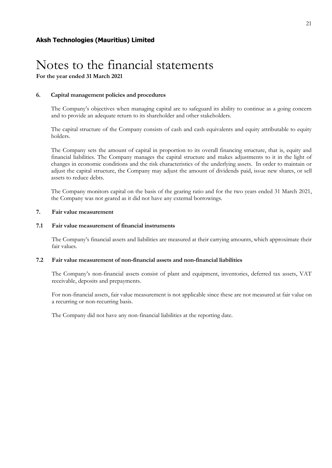### **6. Capital management policies and procedures**

The Company's objectives when managing capital are to safeguard its ability to continue as a going concern and to provide an adequate return to its shareholder and other stakeholders.

The capital structure of the Company consists of cash and cash equivalents and equity attributable to equity holders.

The Company sets the amount of capital in proportion to its overall financing structure, that is, equity and financial liabilities. The Company manages the capital structure and makes adjustments to it in the light of changes in economic conditions and the risk characteristics of the underlying assets. In order to maintain or adjust the capital structure, the Company may adjust the amount of dividends paid, issue new shares, or sell assets to reduce debts.

The Company monitors capital on the basis of the gearing ratio and for the two years ended 31 March 2021, the Company was not geared as it did not have any external borrowings.

### **7. Fair value measurement**

### **7.1 Fair value measurement of financial instruments**

The Company's financial assets and liabilities are measured at their carrying amounts, which approximate their fair values.

### **7.2 Fair value measurement of non-financial assets and non-financial liabilities**

The Company's non-financial assets consist of plant and equipment, inventories, deferred tax assets, VAT receivable, deposits and prepayments.

For non-financial assets, fair value measurement is not applicable since these are not measured at fair value on a recurring or non-recurring basis.

The Company did not have any non-financial liabilities at the reporting date.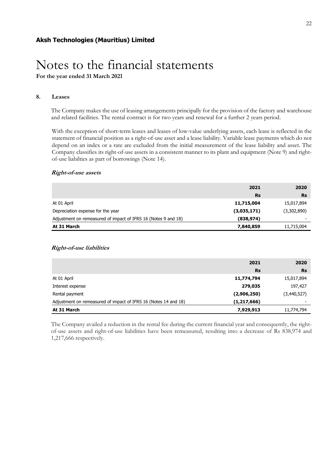### **8. Leases**

The Company makes the use of leasing arrangements principally for the provision of the factory and warehouse and related facilities. The rental contract is for two years and renewal for a further 2 years period.

With the exception of short-term leases and leases of low-value underlying assets, each lease is reflected in the statement of financial position as a right-of-use asset and a lease liability. Variable lease payments which do not depend on an index or a rate are excluded from the initial measurement of the lease liability and asset. The Company classifies its right-of-use assets in a consistent manner to its plant and equipment (Note 9) and rightof-use liabilties as part of borrowings (Note 14).

### **Right-of-use assets**

|                                                                | 2021        | 2020        |
|----------------------------------------------------------------|-------------|-------------|
|                                                                | <b>Rs</b>   | <b>Rs</b>   |
| At 01 April                                                    | 11,715,004  | 15,017,894  |
| Depreciation expense for the year                              | (3,035,171) | (3,302,890) |
| Adjustment on remeasured of impact of IFRS 16 (Notes 9 and 18) | (838, 974)  |             |
| At 31 March                                                    | 7,840,859   | 11,715,004  |

### **Right-of-use liabilities**

|                                                                 | 2021          | 2020        |
|-----------------------------------------------------------------|---------------|-------------|
|                                                                 | <b>Rs</b>     | <b>Rs</b>   |
| At 01 April                                                     | 11,774,794    | 15,017,894  |
| Interest expense                                                | 279,035       | 197,427     |
| Rental payment                                                  | (2,906,250)   | (3,440,527) |
| Adjustment on remeasured of impact of IFRS 16 (Notes 14 and 18) | (1, 217, 666) |             |
| At 31 March                                                     | 7,929,913     | 11,774,794  |

The Company availed a reduction in the rental fee during the current financial year and consequently, the rightof-use assets and right-of-use liabilities have been remeasured, resulting into a decrease of Rs 838,974 and 1,217,666 respectively.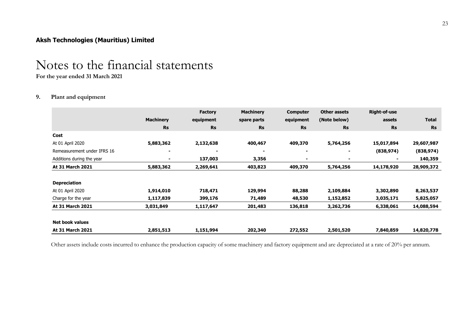## Notes to the financial statements

**For the year ended 31 March 2021**

### **9. Plant and equipment**

|                             |                          | <b>Factory</b> | <b>Machinery</b> | <b>Computer</b> | <b>Other assets</b> | <b>Right-of-use</b> |              |
|-----------------------------|--------------------------|----------------|------------------|-----------------|---------------------|---------------------|--------------|
|                             | <b>Machinery</b>         | equipment      | spare parts      | equipment       | (Note below)        | assets              | <b>Total</b> |
|                             | <b>Rs</b>                | <b>Rs</b>      | <b>Rs</b>        | <b>Rs</b>       | <b>Rs</b>           | <b>Rs</b>           | <b>Rs</b>    |
| Cost                        |                          |                |                  |                 |                     |                     |              |
| At 01 April 2020            | 5,883,362                | 2,132,638      | 400,467          | 409,370         | 5,764,256           | 15,017,894          | 29,607,987   |
| Remeasurement under IFRS 16 | $\overline{\phantom{0}}$ |                |                  |                 |                     | (838, 974)          | (838, 974)   |
| Additions during the year   | ٠                        | 137,003        | 3,356            |                 | ۰                   | -                   | 140,359      |
| At 31 March 2021            | 5,883,362                | 2,269,641      | 403,823          | 409,370         | 5,764,256           | 14,178,920          | 28,909,372   |
| <b>Depreciation</b>         |                          |                |                  |                 |                     |                     |              |
| At 01 April 2020            | 1,914,010                | 718,471        | 129,994          | 88,288          | 2,109,884           | 3,302,890           | 8,263,537    |
| Charge for the year         | 1,117,839                | 399,176        | 71,489           | 48,530          | 1,152,852           | 3,035,171           | 5,825,057    |
| At 31 March 2021            | 3,031,849                | 1,117,647      | 201,483          | 136,818         | 3,262,736           | 6,338,061           | 14,088,594   |
| <b>Net book values</b>      |                          |                |                  |                 |                     |                     |              |
| At 31 March 2021            | 2,851,513                | 1,151,994      | 202,340          | 272,552         | 2,501,520           | 7,840,859           | 14,820,778   |

Other assets include costs incurred to enhance the production capacity of some machinery and factory equipment and are depreciated at a rate of 20% per annum.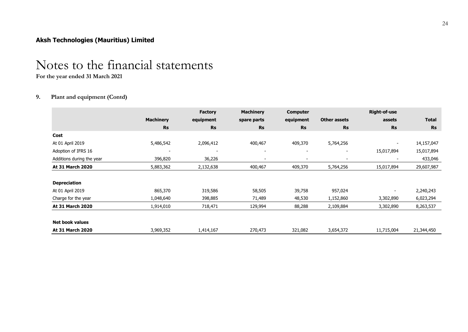## Notes to the financial statements

**For the year ended 31 March 2021**

### **9. Plant and equipment (Contd)**

|                           |                  | <b>Factory</b> | <b>Machinery</b>         | <b>Computer</b>          |                          | <b>Right-of-use</b>      |              |
|---------------------------|------------------|----------------|--------------------------|--------------------------|--------------------------|--------------------------|--------------|
|                           | <b>Machinery</b> | equipment      | spare parts              | equipment                | <b>Other assets</b>      | assets                   | <b>Total</b> |
|                           | <b>Rs</b>        | <b>Rs</b>      | <b>Rs</b>                | <b>Rs</b>                | <b>Rs</b>                | <b>Rs</b>                | <b>Rs</b>    |
| Cost                      |                  |                |                          |                          |                          |                          |              |
| At 01 April 2019          | 5,486,542        | 2,096,412      | 400,467                  | 409,370                  | 5,764,256                | $\overline{\phantom{a}}$ | 14,157,047   |
| Adoption of IFRS 16       |                  |                | $\overline{\phantom{a}}$ | $\overline{\phantom{a}}$ | $\overline{\phantom{a}}$ | 15,017,894               | 15,017,894   |
| Additions during the year | 396,820          | 36,226         | $\overline{\phantom{0}}$ |                          |                          | $\overline{\phantom{a}}$ | 433,046      |
| At 31 March 2020          | 5,883,362        | 2,132,638      | 400,467                  | 409,370                  | 5,764,256                | 15,017,894               | 29,607,987   |
| <b>Depreciation</b>       |                  |                |                          |                          |                          |                          |              |
| At 01 April 2019          | 865,370          | 319,586        | 58,505                   | 39,758                   | 957,024                  |                          | 2,240,243    |
| Charge for the year       | 1,048,640        | 398,885        | 71,489                   | 48,530                   | 1,152,860                | 3,302,890                | 6,023,294    |
| At 31 March 2020          | 1,914,010        | 718,471        | 129,994                  | 88,288                   | 2,109,884                | 3,302,890                | 8,263,537    |
| <b>Net book values</b>    |                  |                |                          |                          |                          |                          |              |
| At 31 March 2020          | 3,969,352        | 1,414,167      | 270,473                  | 321,082                  | 3,654,372                | 11,715,004               | 21,344,450   |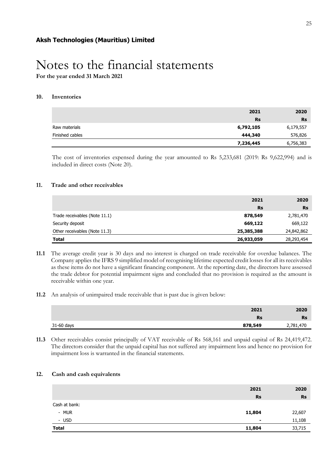**For the year ended 31 March 2021**

### **10. Inventories**

|                 | 2021      | 2020      |
|-----------------|-----------|-----------|
|                 | Rs        | <b>Rs</b> |
| Raw materials   | 6,792,105 | 6,179,557 |
| Finished cables | 444,340   | 576,826   |
|                 | 7,236,445 | 6,756,383 |

The cost of inventories expensed during the year amounted to Rs 5,233,681 (2019: Rs 9,622,994) and is included in direct costs (Note 20).

### **11. Trade and other receivables**

|                               | 2021       | 2020       |
|-------------------------------|------------|------------|
|                               | <b>Rs</b>  | <b>Rs</b>  |
| Trade receivables (Note 11.1) | 878,549    | 2,781,470  |
| Security deposit              | 669,122    | 669,122    |
| Other receivables (Note 11.3) | 25,385,388 | 24,842,862 |
| <b>Total</b>                  | 26,933,059 | 28,293,454 |

- **11.1** The average credit year is 30 days and no interest is charged on trade receivable for overdue balances. The Company applies the IFRS 9 simplified model of recognising lifetime expected credit losses for all its receivables as these items do not have a significant financing component. At the reporting date, the directors have assessed the trade debtor for potential impairment signs and concluded that no provision is required as the amount is receivable within one year.
- **11.2** An analysis of unimpaired trade receivable that is past due is given below:

|            | 2021    | 2020      |
|------------|---------|-----------|
|            | Rs      | <b>Rs</b> |
| 31-60 days | 878,549 | 2,781,470 |

**11.3** Other receivables consist principally of VAT receivable of Rs 568,161 and unpaid capital of Rs 24,419,472. The directors consider that the unpaid capital has not suffered any impairment loss and hence no provision for impairment loss is warranted in the financial statements.

### **12. Cash and cash equivalents**

|               | 2021           | 2020      |
|---------------|----------------|-----------|
|               | <b>Rs</b>      | <b>Rs</b> |
| Cash at bank: |                |           |
| - MUR         | 11,804         | 22,607    |
| - USD         | $\blacksquare$ | 11,108    |
| Total         | 11,804         | 33,715    |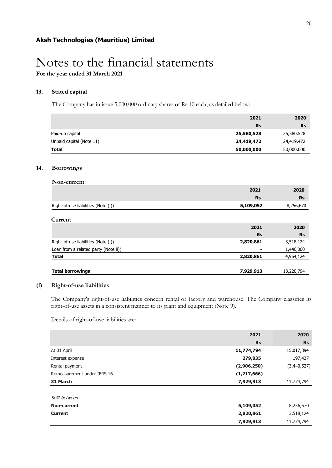**For the year ended 31 March 2021**

### **13. Stated capital**

The Company has in issue 5,000,000 ordinary shares of Rs 10 each, as detailed below:

|                          | 2021       | 2020       |
|--------------------------|------------|------------|
|                          | <b>Rs</b>  | <b>Rs</b>  |
| Paid-up capital          | 25,580,528 | 25,580,528 |
| Unpaid capital (Note 11) | 24,419,472 | 24,419,472 |
| Total                    | 50,000,000 | 50,000,000 |

### **14. Borrowings**

| Non-current                          |           |           |
|--------------------------------------|-----------|-----------|
|                                      | 2021      | 2020      |
|                                      | <b>Rs</b> | <b>Rs</b> |
| Right-of-use liabilities (Note (i))  | 5,109,052 | 8,256,670 |
|                                      |           |           |
| Current                              |           |           |
|                                      | 2021      | 2020      |
|                                      | <b>Rs</b> | <b>Rs</b> |
| Right-of-use liabilities (Note (i))  | 2,820,861 | 3,518,124 |
| Loan from a related party (Note ii)) | ۰         | 1,446,000 |
| <b>Total</b>                         | 2,820,861 | 4,964,124 |
|                                      |           |           |

### **Total borrowings 7,929,913** 13,220,794

### **(i) Right-of-use liabilities**

The Company's right-of-use liabilities concern rental of factory and warehouse. The Company classifies its right-of-use assets in a consistent manner to its plant and equipment (Note 9).

Details of right-of-use liabilities are:

|                             | 2021          | 2020        |
|-----------------------------|---------------|-------------|
|                             | <b>Rs</b>     | <b>Rs</b>   |
| At 01 April                 | 11,774,794    | 15,017,894  |
| Interest expense            | 279,035       | 197,427     |
| Rental payment              | (2,906,250)   | (3,440,527) |
| Remeasurement under IFRS 16 | (1, 217, 666) |             |
| 31 March                    | 7,929,913     | 11,774,794  |
|                             |               |             |
| Split between:              |               |             |
| Non-current                 | 5,109,052     | 8,256,670   |
| <b>Current</b>              | 2,820,861     | 3,518,124   |
|                             | 7,929,913     | 11,774,794  |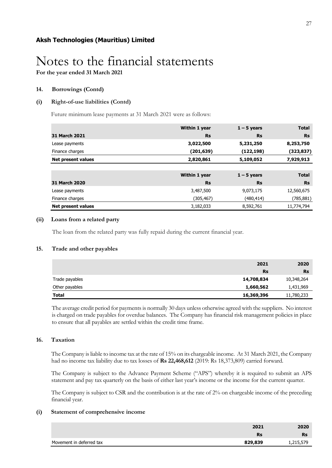**For the year ended 31 March 2021**

### **14. Borrowings (Contd)**

### **(i) Right-of-use liabilities (Contd)**

Future minimum lease payments at 31 March 2021 were as follows:

|                           | Within 1 year | $1 - 5$ years | <b>Total</b> |
|---------------------------|---------------|---------------|--------------|
| 31 March 2021             | <b>Rs</b>     | <b>Rs</b>     | <b>Rs</b>    |
| Lease payments            | 3,022,500     | 5,231,250     | 8,253,750    |
| Finance charges           | (201, 639)    | (122, 198)    | (323,837)    |
| <b>Net present values</b> | 2,820,861     | 5,109,052     | 7,929,913    |
|                           |               |               |              |
|                           | Within 1 year | $1 - 5$ years | <b>Total</b> |
| <b>31 March 2020</b>      | <b>Rs</b>     | <b>Rs</b>     | <b>Rs</b>    |
| Lease payments            | 3,487,500     | 9,073,175     | 12,560,675   |
| Finance charges           | (305, 467)    | (480,414)     | (785,881)    |
| Net present values        | 3,182,033     | 8,592,761     | 11,774,794   |

### **(ii) Loans from a related party**

The loan from the related party was fully repaid during the current financial year.

### **15. Trade and other payables**

|                | 2021       | 2020       |
|----------------|------------|------------|
|                | <b>Rs</b>  | <b>Rs</b>  |
| Trade payables | 14,708,834 | 10,348,264 |
| Other payables | 1,660,562  | 1,431,969  |
| <b>Total</b>   | 16,369,396 | 11,780,233 |

The average credit period for payments is normally 30 days unless otherwise agreed with the suppliers. No interest is charged on trade payables for overdue balances. The Company has financial risk management policies in place to ensure that all payables are settled within the credit time frame.

### **16. Taxation**

The Company is liable to income tax at the rate of 15% on its chargeable income. At 31 March 2021, the Company had no income tax liability due to tax losses of **Rs 22,468,612** (2019: Rs 18,373,809) carried forward.

The Company is subject to the Advance Payment Scheme ("APS") whereby it is required to submit an APS statement and pay tax quarterly on the basis of either last year's income or the income for the current quarter.

The Company is subject to CSR and the contribution is at the rate of 2% on chargeable income of the preceding financial year.

### **(i) Statement of comprehensive income**

|                          | 2021      | 2020      |
|--------------------------|-----------|-----------|
|                          | <b>Rs</b> | <b>Rs</b> |
| Movement in deferred tax | 829,839   |           |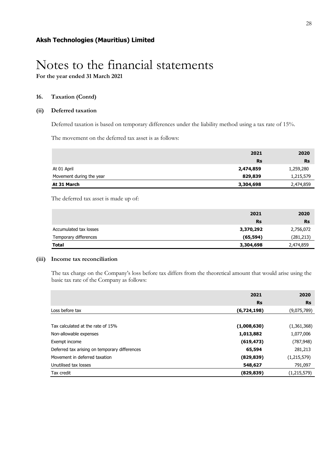### **16. Taxation (Contd)**

### **(ii) Deferred taxation**

Deferred taxation is based on temporary differences under the liability method using a tax rate of 15%.

The movement on the deferred tax asset is as follows:

|                          | 2021      | 2020      |
|--------------------------|-----------|-----------|
|                          | <b>Rs</b> | <b>Rs</b> |
| At 01 April              | 2,474,859 | 1,259,280 |
| Movement during the year | 829,839   | 1,215,579 |
| At 31 March              | 3,304,698 | 2,474,859 |

The deferred tax asset is made up of:

|                        | 2021      | 2020      |
|------------------------|-----------|-----------|
|                        | <b>Rs</b> | <b>Rs</b> |
| Accumulated tax losses | 3,370,292 | 2,756,072 |
| Temporary differences  | (65, 594) | (281,213) |
| <b>Total</b>           | 3,304,698 | 2,474,859 |

### **(iii) Income tax reconciliation**

The tax charge on the Company's loss before tax differs from the theoretical amount that would arise using the basic tax rate of the Company as follows:

|                                               | 2021        | 2020          |
|-----------------------------------------------|-------------|---------------|
|                                               | <b>Rs</b>   | <b>Rs</b>     |
| Loss before tax                               | (6,724,198) | (9,075,789)   |
|                                               |             |               |
| Tax calculated at the rate of 15%             | (1,008,630) | (1,361,368)   |
| Non-allowable expenses                        | 1,013,882   | 1,077,006     |
| Exempt income                                 | (619, 473)  | (787, 948)    |
| Deferred tax arising on temporary differences | 65,594      | 281,213       |
| Movement in deferred taxation                 | (829, 839)  | (1, 215, 579) |
| Unutilised tax losses                         | 548,627     | 791,097       |
| Tax credit                                    | (829, 839)  | (1, 215, 579) |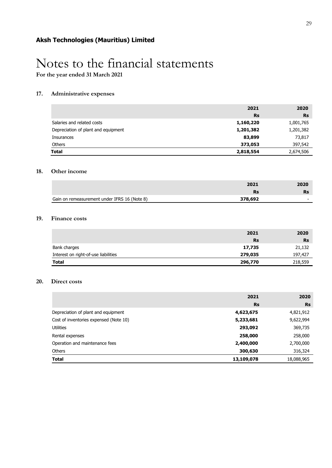**For the year ended 31 March 2021**

### **17. Administrative expenses**

|                                     | 2021      | 2020      |
|-------------------------------------|-----------|-----------|
|                                     | <b>Rs</b> | <b>Rs</b> |
| Salaries and related costs          | 1,160,220 | 1,001,765 |
| Depreciation of plant and equipment | 1,201,382 | 1,201,382 |
| Insurances                          | 83,899    | 73,817    |
| Others                              | 373,053   | 397,542   |
| <b>Total</b>                        | 2,818,554 | 2,674,506 |

### **18. Other income**

|                                              | 2021    | 2020 |
|----------------------------------------------|---------|------|
|                                              |         |      |
| Gain on remeasurement under IFRS 16 (Note 8) | 378,692 | -    |

### **19. Finance costs**

|                                      | 2021      | 2020      |
|--------------------------------------|-----------|-----------|
|                                      | <b>Rs</b> | <b>Rs</b> |
| Bank charges                         | 17,735    | 21,132    |
| Interest on right-of-use liabilities | 279,035   | 197,427   |
| <b>Total</b>                         | 296,770   | 218,559   |

### **20. Direct costs**

|                                        | 2021       | 2020       |
|----------------------------------------|------------|------------|
|                                        | <b>Rs</b>  | <b>Rs</b>  |
| Depreciation of plant and equipment    | 4,623,675  | 4,821,912  |
| Cost of inventories expensed (Note 10) | 5,233,681  | 9,622,994  |
| <b>Utilities</b>                       | 293,092    | 369,735    |
| Rental expenses                        | 258,000    | 258,000    |
| Operation and maintenance fees         | 2,400,000  | 2,700,000  |
| Others                                 | 300,630    | 316,324    |
| <b>Total</b>                           | 13,109,078 | 18,088,965 |